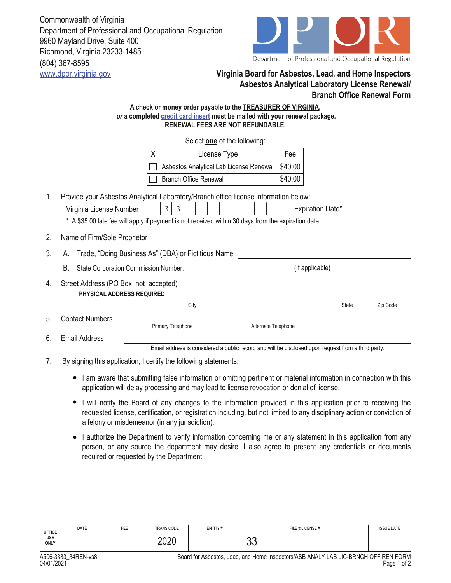(804) 367-8595 Commonwealth of Virginia Department of Professional and Occupational Regulation 9960 Mayland Drive, Suite 400 Richmond, Virginia 23233-1485



## www.dpor.virginia.gov **Virginia Board for Asbestos, Lead, and Home Inspectors Asbestos Analytical Laboratory License Renewal/ Branch Office Renewal Form**

## **A check or money order payable to the TREASURER OF VIRGINIA,**  *or* **a completed credit card insert must be mailed with your renewal package. RENEWAL FEES ARE NOT REFUNDABLE.**

|    |                                                                          | Select one of the following:                                                                                                                                                                                                     |                     |         |                 |          |  |  |
|----|--------------------------------------------------------------------------|----------------------------------------------------------------------------------------------------------------------------------------------------------------------------------------------------------------------------------|---------------------|---------|-----------------|----------|--|--|
|    | X.                                                                       | License Type                                                                                                                                                                                                                     |                     | Fee     |                 |          |  |  |
|    |                                                                          | Asbestos Analytical Lab License Renewal                                                                                                                                                                                          |                     | \$40.00 |                 |          |  |  |
|    |                                                                          | <b>Branch Office Renewal</b>                                                                                                                                                                                                     |                     | \$40.00 |                 |          |  |  |
| 1. | Virginia License Number                                                  | Provide your Asbestos Analytical Laboratory/Branch office license information below:<br>3<br><b>Expiration Date*</b><br>3<br>* A \$35.00 late fee will apply if payment is not received within 30 days from the expiration date. |                     |         |                 |          |  |  |
| 2. | Name of Firm/Sole Proprietor                                             |                                                                                                                                                                                                                                  |                     |         |                 |          |  |  |
| 3. | Trade, "Doing Business As" (DBA) or Fictitious Name<br>A.                |                                                                                                                                                                                                                                  |                     |         |                 |          |  |  |
|    | В.<br>State Corporation Commission Number:                               |                                                                                                                                                                                                                                  |                     |         | (If applicable) |          |  |  |
| 4. | Street Address (PO Box not accepted)<br><b>PHYSICAL ADDRESS REQUIRED</b> |                                                                                                                                                                                                                                  |                     |         |                 |          |  |  |
|    |                                                                          | City                                                                                                                                                                                                                             |                     |         | <b>State</b>    | Zip Code |  |  |
| 5. | <b>Contact Numbers</b>                                                   | <b>Primary Telephone</b>                                                                                                                                                                                                         | Alternate Telephone |         |                 |          |  |  |
| 6. | <b>Email Address</b>                                                     |                                                                                                                                                                                                                                  |                     |         |                 |          |  |  |
|    |                                                                          | Email address is considered a public record and will be disclosed upon request from a third party.                                                                                                                               |                     |         |                 |          |  |  |

7. By signing this application, I certify the following statements:

- I am aware that submitting false information or omitting pertinent or material information in connection with this application will delay processing and may lead to license revocation or denial of license.
- I will notify the Board of any changes to the information provided in this application prior to receiving the requested license, certification, or registration including, but not limited to any disciplinary action or conviction of a felony or misdemeanor (in any jurisdiction).
- I authorize the Department to verify information concerning me or any statement in this application from any person, or any source the department may desire. I also agree to present any credentials or documents required or requested by the Department.

| <b>USE</b><br><b>ONLY</b> | $\overline{1}$ |     | 2020              |         | <u>^^</u><br>◡◡  |                   |
|---------------------------|----------------|-----|-------------------|---------|------------------|-------------------|
| <b>OFFICE</b>             | DATE           | FEE | <b>TRANS CODE</b> | ENTITY# | FILE #/LICENSE # | <b>ISSUE DATE</b> |